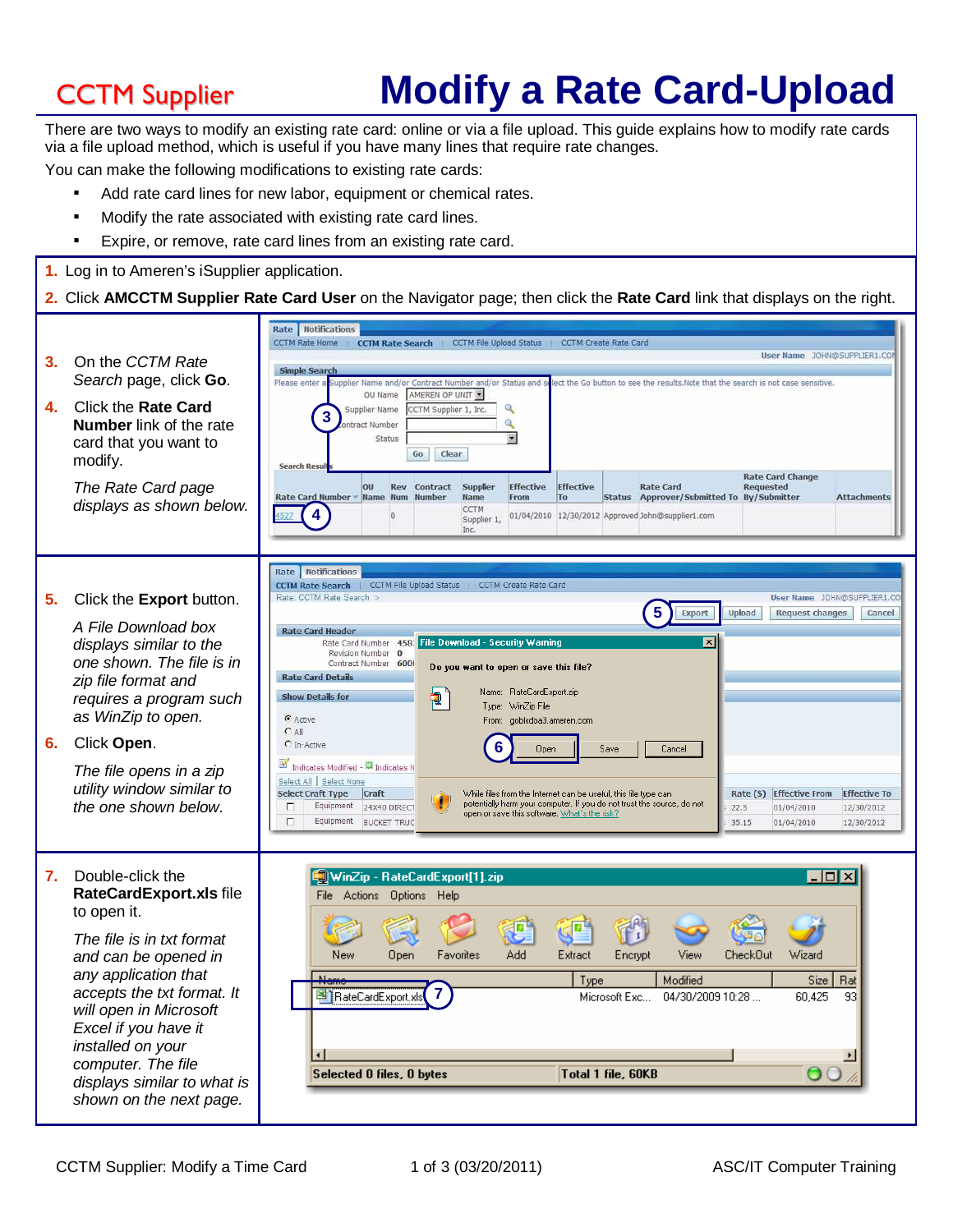# CCTM Supplier **Modify a Rate Card-Upload**

There are two ways to modify an existing rate card: online or via a file upload. This guide explains how to modify rate cards via a file upload method, which is useful if you have many lines that require rate changes.

You can make the following modifications to existing rate cards:

- Add rate card lines for new labor, equipment or chemical rates.
- Modify the rate associated with existing rate card lines.
- Expire, or remove, rate card lines from an existing rate card.

**1.** Log in to Ameren's iSupplier application.

### **2.** Click **AMCCTM Supplier Rate Card User** on the Navigator page; then click the **Rate Card** link that displays on the right.

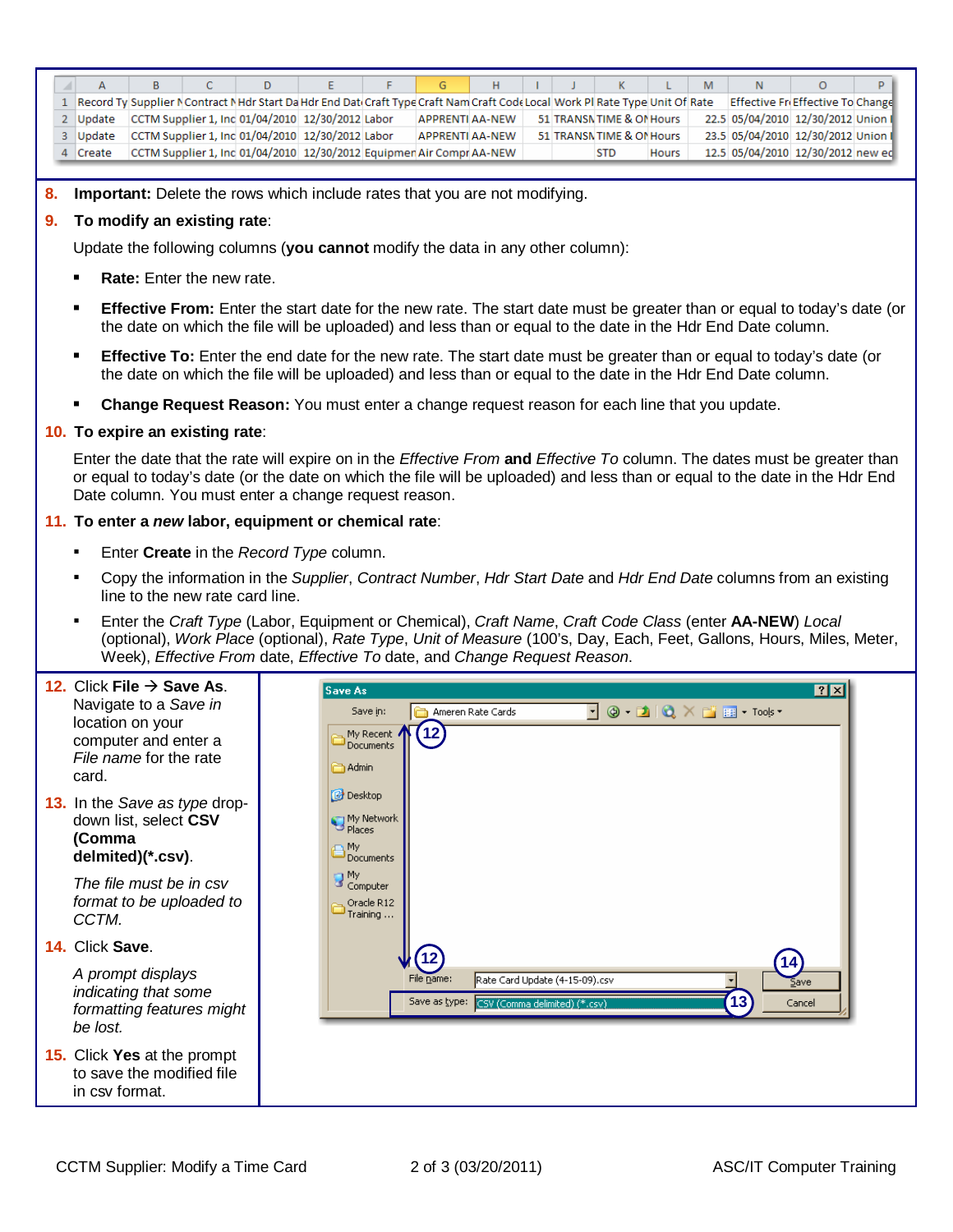|               |  | D |                                                                                                                               |                 |  | к                         |              | M |                                    |  |
|---------------|--|---|-------------------------------------------------------------------------------------------------------------------------------|-----------------|--|---------------------------|--------------|---|------------------------------------|--|
|               |  |   | Record Ty Supplier N Contract NHdr Start Da Hdr End Dati Craft Type Craft Nam Craft Code Local Work Pl Rate Type Unit Of Rate |                 |  |                           |              |   | Effective FriEffective To Change   |  |
| 2 Update      |  |   | CCTM Supplier 1, Inc 01/04/2010 12/30/2012 Labor                                                                              | APPRENTI AA-NEW |  | 51 TRANSN TIME & ON Hours |              |   | 22.5 05/04/2010 12/30/2012 Union   |  |
| <b>Update</b> |  |   | CCTM Supplier 1, Inc 01/04/2010 12/30/2012 Labor                                                                              | APPRENTI AA-NEW |  | 51 TRANSN TIME & ON Hours |              |   | 23.5 05/04/2010 12/30/2012 Union I |  |
| Create        |  |   | CCTM Supplier 1, Inc 01/04/2010 12/30/2012 Equipmen Air Compr AA-NEW                                                          |                 |  | STD                       | <b>Hours</b> |   | 12.5 05/04/2010 12/30/2012 new ed  |  |

**8. Important:** Delete the rows which include rates that you are not modifying.

## **9. To modify an existing rate**:

Update the following columns (**you cannot** modify the data in any other column):

- **Rate:** Enter the new rate.
- **Effective From:** Enter the start date for the new rate. The start date must be greater than or equal to today's date (or the date on which the file will be uploaded) and less than or equal to the date in the Hdr End Date column.
- **Effective To:** Enter the end date for the new rate. The start date must be greater than or equal to today's date (or the date on which the file will be uploaded) and less than or equal to the date in the Hdr End Date column.
- **Change Request Reason:** You must enter a change request reason for each line that you update.

## **10. To expire an existing rate**:

Enter the date that the rate will expire on in the Effective From **and** Effective To column. The dates must be greater than or equal to today's date (or the date on which the file will be uploaded) and less than or equal to the date in the Hdr End Date column. You must enter a change request reason.

## **11. To enter a new labor, equipment or chemical rate**:

- Enter **Create** in the Record Type column.
- Copy the information in the Supplier, Contract Number, Hdr Start Date and Hdr End Date columns from an existing line to the new rate card line.
- Enter the Craft Type (Labor, Equipment or Chemical), Craft Name, Craft Code Class (enter **AA-NEW**) Local (optional), Work Place (optional), Rate Type, Unit of Measure (100's, Day, Each, Feet, Gallons, Hours, Miles, Meter, Week), Effective From date, Effective To date, and Change Request Reason.